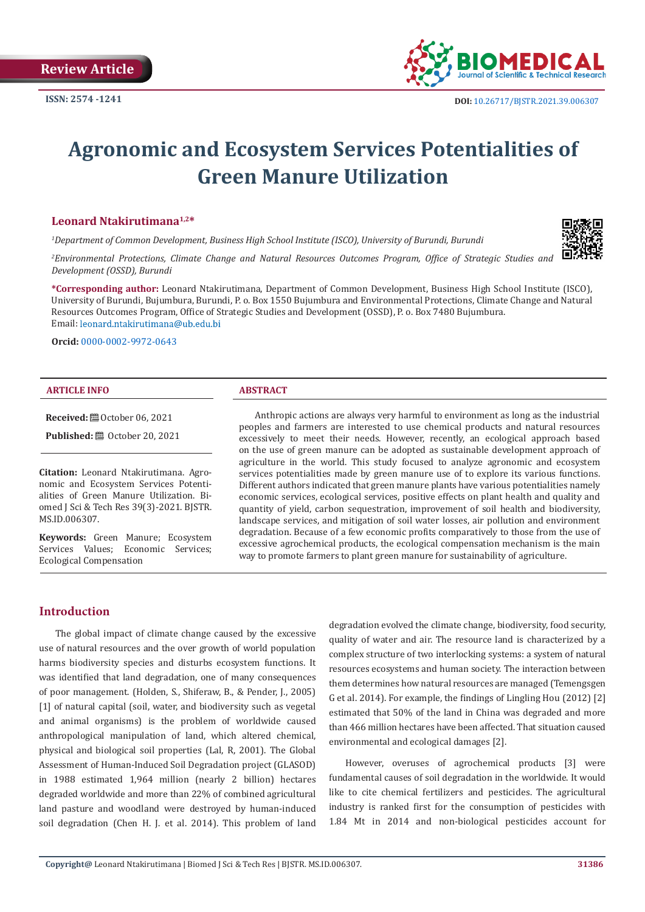

# **Agronomic and Ecosystem Services Potentialities of Green Manure Utilization**

#### **Leonard Ntakirutimana1,2\***

*1 Department of Common Development, Business High School Institute (ISCO), University of Burundi, Burundi*

*2 Environmental Protections, Climate Change and Natural Resources Outcomes Program, Office of Strategic Studies and Development (OSSD), Burundi*

**\*Corresponding author:** Leonard Ntakirutimana, Department of Common Development, Business High School Institute (ISCO), University of Burundi, Bujumbura, Burundi, P. o. Box 1550 Bujumbura and Environmental Protections, Climate Change and Natural Resources Outcomes Program, Office of Strategic Studies and Development (OSSD), P. o. Box 7480 Bujumbura. Email: leonard.ntakirutimana@ub.edu.bi

**Orcid:** [0000-0002-9972-0643](https://orcid.org/0000-0002-9972-0643)

#### **ARTICLE INFO ABSTRACT**

**Received:** ■ October 06, 2021

**Published:** ■ October 20, 2021

**Citation:** Leonard Ntakirutimana. Agronomic and Ecosystem Services Potentialities of Green Manure Utilization. Biomed J Sci & Tech Res 39(3)-2021. BJSTR. MS.ID.006307.

**Keywords:** Green Manure; Ecosystem Services Values; Economic Services; Ecological Compensation

Anthropic actions are always very harmful to environment as long as the industrial peoples and farmers are interested to use chemical products and natural resources excessively to meet their needs. However, recently, an ecological approach based on the use of green manure can be adopted as sustainable development approach of agriculture in the world. This study focused to analyze agronomic and ecosystem services potentialities made by green manure use of to explore its various functions. Different authors indicated that green manure plants have various potentialities namely economic services, ecological services, positive effects on plant health and quality and quantity of yield, carbon sequestration, improvement of soil health and biodiversity, landscape services, and mitigation of soil water losses, air pollution and environment degradation. Because of a few economic profits comparatively to those from the use of excessive agrochemical products, the ecological compensation mechanism is the main way to promote farmers to plant green manure for sustainability of agriculture.

#### **Introduction**

The global impact of climate change caused by the excessive use of natural resources and the over growth of world population harms biodiversity species and disturbs ecosystem functions. It was identified that land degradation, one of many consequences of poor management. (Holden, S., Shiferaw, B., & Pender, J., 2005) [1] of natural capital (soil, water, and biodiversity such as vegetal and animal organisms) is the problem of worldwide caused anthropological manipulation of land, which altered chemical, physical and biological soil properties (Lal, R, 2001). The Global Assessment of Human-Induced Soil Degradation project (GLASOD) in 1988 estimated 1,964 million (nearly 2 billion) hectares degraded worldwide and more than 22% of combined agricultural land pasture and woodland were destroyed by human-induced soil degradation (Chen H. J. et al. 2014). This problem of land

degradation evolved the climate change, biodiversity, food security, quality of water and air. The resource land is characterized by a complex structure of two interlocking systems: a system of natural resources ecosystems and human society. The interaction between them determines how natural resources are managed (Temengsgen G et al. 2014). For example, the findings of Lingling Hou (2012) [2] estimated that 50% of the land in China was degraded and more than 466 million hectares have been affected. That situation caused environmental and ecological damages [2].

However, overuses of agrochemical products [3] were fundamental causes of soil degradation in the worldwide. It would like to cite chemical fertilizers and pesticides. The agricultural industry is ranked first for the consumption of pesticides with 1.84 Mt in 2014 and non-biological pesticides account for

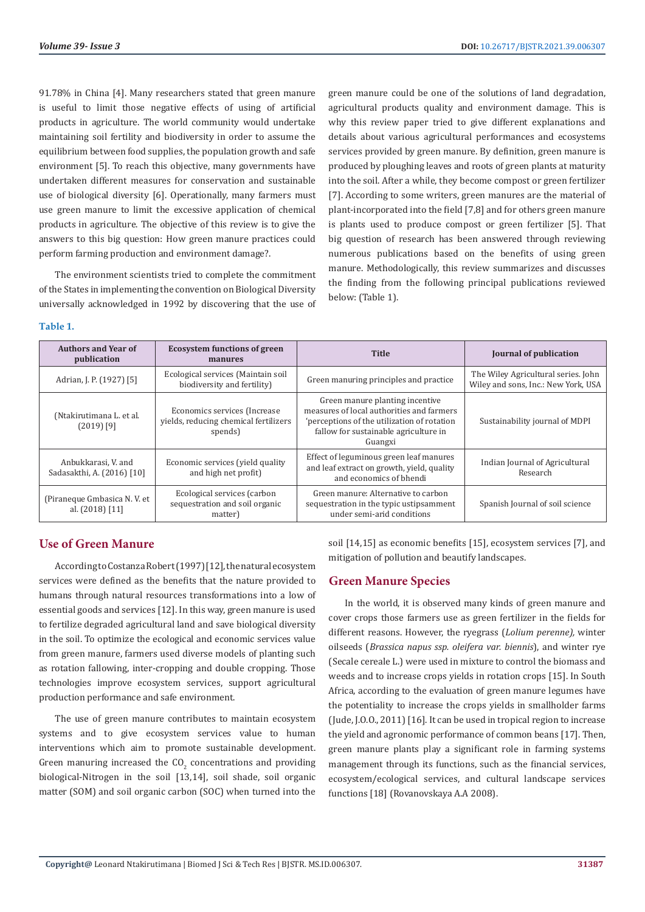91.78% in China [4]. Many researchers stated that green manure is useful to limit those negative effects of using of artificial products in agriculture. The world community would undertake maintaining soil fertility and biodiversity in order to assume the equilibrium between food supplies, the population growth and safe environment [5]. To reach this objective, many governments have undertaken different measures for conservation and sustainable use of biological diversity [6]. Operationally, many farmers must use green manure to limit the excessive application of chemical products in agriculture. The objective of this review is to give the answers to this big question: How green manure practices could perform farming production and environment damage?.

The environment scientists tried to complete the commitment of the States in implementing the convention on Biological Diversity universally acknowledged in 1992 by discovering that the use of green manure could be one of the solutions of land degradation, agricultural products quality and environment damage. This is why this review paper tried to give different explanations and details about various agricultural performances and ecosystems services provided by green manure. By definition, green manure is produced by ploughing leaves and roots of green plants at maturity into the soil. After a while, they become compost or green fertilizer [7]. According to some writers, green manures are the material of plant-incorporated into the field [7,8] and for others green manure is plants used to produce compost or green fertilizer [5]. That big question of research has been answered through reviewing numerous publications based on the benefits of using green manure. Methodologically, this review summarizes and discusses the finding from the following principal publications reviewed below: (Table 1).

#### **Table 1.**

| <b>Authors and Year of</b><br>publication         | <b>Ecosystem functions of green</b><br>manures                                    | <b>Title</b>                                                                                                                                                                    | Journal of publication                                                     |
|---------------------------------------------------|-----------------------------------------------------------------------------------|---------------------------------------------------------------------------------------------------------------------------------------------------------------------------------|----------------------------------------------------------------------------|
| Adrian, J. P. (1927) [5]                          | Ecological services (Maintain soil<br>biodiversity and fertility)                 | Green manuring principles and practice                                                                                                                                          | The Wiley Agricultural series. John<br>Wiley and sons, Inc.: New York, USA |
| (Ntakirutimana L. et al.<br>$(2019)$ [9]          | Economics services (Increase)<br>yields, reducing chemical fertilizers<br>spends) | Green manure planting incentive<br>measures of local authorities and farmers<br>'perceptions of the utilization of rotation<br>fallow for sustainable agriculture in<br>Guangxi | Sustainability journal of MDPI                                             |
| Anbukkarasi, V. and<br>Sadasakthi, A. (2016) [10] | Economic services (yield quality<br>and high net profit)                          | Effect of leguminous green leaf manures<br>and leaf extract on growth, yield, quality<br>and economics of bhendi                                                                | Indian Journal of Agricultural<br>Research                                 |
| (Piraneque Gmbasica N.V. et<br>al. (2018) [11]    | Ecological services (carbon<br>sequestration and soil organic<br>matter)          | Green manure: Alternative to carbon<br>sequestration in the typic ustipsamment<br>under semi-arid conditions                                                                    | Spanish Journal of soil science                                            |

### **Use of Green Manure**

According to Costanza Robert (1997) [12], the natural ecosystem services were defined as the benefits that the nature provided to humans through natural resources transformations into a low of essential goods and services [12]. In this way, green manure is used to fertilize degraded agricultural land and save biological diversity in the soil. To optimize the ecological and economic services value from green manure, farmers used diverse models of planting such as rotation fallowing, inter-cropping and double cropping. Those technologies improve ecosystem services, support agricultural production performance and safe environment.

The use of green manure contributes to maintain ecosystem systems and to give ecosystem services value to human interventions which aim to promote sustainable development. Green manuring increased the  $CO_2$  concentrations and providing biological-Nitrogen in the soil [13,14], soil shade, soil organic matter (SOM) and soil organic carbon (SOC) when turned into the

soil [14,15] as economic benefits [15], ecosystem services [7], and mitigation of pollution and beautify landscapes.

#### **Green Manure Species**

In the world, it is observed many kinds of green manure and cover crops those farmers use as green fertilizer in the fields for different reasons. However, the ryegrass (*Lolium perenne),* winter oilseeds (*Brassica napus ssp. oleifera var. biennis*), and winter rye (Secale cereale L.) were used in mixture to control the biomass and weeds and to increase crops yields in rotation crops [15]. In South Africa, according to the evaluation of green manure legumes have the potentiality to increase the crops yields in smallholder farms (Jude, J.O.O., 2011) [16]. It can be used in tropical region to increase the yield and agronomic performance of common beans [17]. Then, green manure plants play a significant role in farming systems management through its functions, such as the financial services, ecosystem/ecological services, and cultural landscape services functions [18] (Rovanovskaya A.A 2008).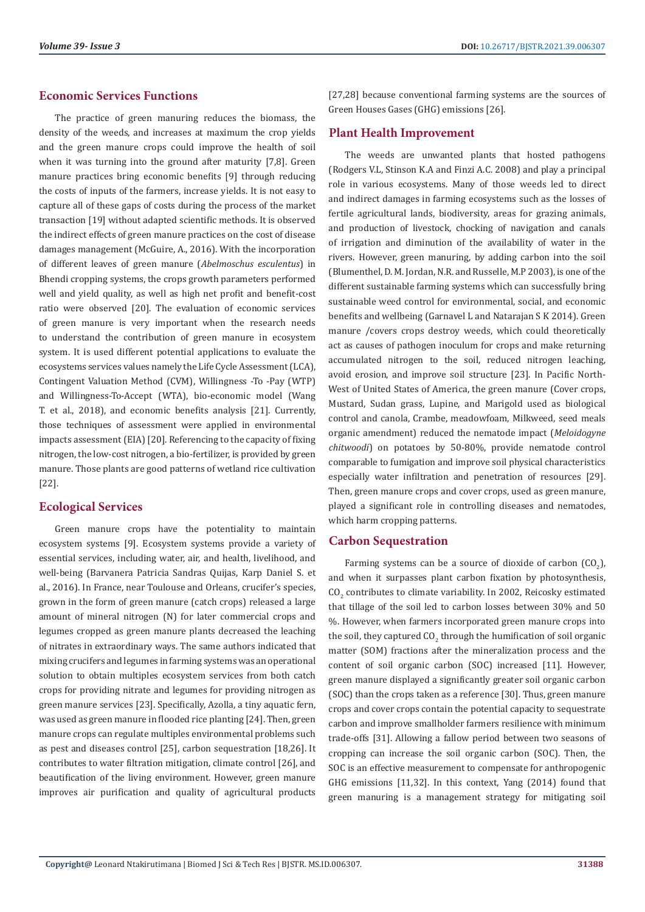#### **Economic Services Functions**

The practice of green manuring reduces the biomass, the density of the weeds, and increases at maximum the crop yields and the green manure crops could improve the health of soil when it was turning into the ground after maturity [7,8]. Green manure practices bring economic benefits [9] through reducing the costs of inputs of the farmers, increase yields. It is not easy to capture all of these gaps of costs during the process of the market transaction [19] without adapted scientific methods. It is observed the indirect effects of green manure practices on the cost of disease damages management (McGuire, A., 2016). With the incorporation of different leaves of green manure (*Abelmoschus esculentus*) in Bhendi cropping systems, the crops growth parameters performed well and yield quality, as well as high net profit and benefit-cost ratio were observed [20]. The evaluation of economic services of green manure is very important when the research needs to understand the contribution of green manure in ecosystem system. It is used different potential applications to evaluate the ecosystems services values namely the Life Cycle Assessment (LCA), Contingent Valuation Method (CVM), Willingness -To -Pay (WTP) and Willingness-To-Accept (WTA), bio-economic model (Wang T. et al., 2018), and economic benefits analysis [21]. Currently, those techniques of assessment were applied in environmental impacts assessment (EIA) [20]. Referencing to the capacity of fixing nitrogen, the low-cost nitrogen, a bio-fertilizer, is provided by green manure. Those plants are good patterns of wetland rice cultivation [22].

#### **Ecological Services**

Green manure crops have the potentiality to maintain ecosystem systems [9]. Ecosystem systems provide a variety of essential services, including water, air, and health, livelihood, and well-being (Barvanera Patricia Sandras Quijas, Karp Daniel S. et al., 2016). In France, near Toulouse and Orleans, crucifer's species, grown in the form of green manure (catch crops) released a large amount of mineral nitrogen (N) for later commercial crops and legumes cropped as green manure plants decreased the leaching of nitrates in extraordinary ways. The same authors indicated that mixing crucifers and legumes in farming systems was an operational solution to obtain multiples ecosystem services from both catch crops for providing nitrate and legumes for providing nitrogen as green manure services [23]. Specifically, Azolla, a tiny aquatic fern, was used as green manure in flooded rice planting [24]. Then, green manure crops can regulate multiples environmental problems such as pest and diseases control [25], carbon sequestration [18,26]. It contributes to water filtration mitigation, climate control [26], and beautification of the living environment. However, green manure improves air purification and quality of agricultural products [27,28] because conventional farming systems are the sources of Green Houses Gases (GHG) emissions [26].

### **Plant Health Improvement**

The weeds are unwanted plants that hosted pathogens (Rodgers V.L, Stinson K.A and Finzi A.C. 2008) and play a principal role in various ecosystems. Many of those weeds led to direct and indirect damages in farming ecosystems such as the losses of fertile agricultural lands, biodiversity, areas for grazing animals, and production of livestock, chocking of navigation and canals of irrigation and diminution of the availability of water in the rivers. However, green manuring, by adding carbon into the soil (Blumenthel, D. M. Jordan, N.R. and Russelle, M.P 2003), is one of the different sustainable farming systems which can successfully bring sustainable weed control for environmental, social, and economic benefits and wellbeing (Garnavel L and Natarajan S K 2014). Green manure /covers crops destroy weeds, which could theoretically act as causes of pathogen inoculum for crops and make returning accumulated nitrogen to the soil, reduced nitrogen leaching, avoid erosion, and improve soil structure [23]. In Pacific North-West of United States of America, the green manure (Cover crops, Mustard, Sudan grass, Lupine, and Marigold used as biological control and canola, Crambe, meadowfoam, Milkweed, seed meals organic amendment) reduced the nematode impact (*Meloidogyne chitwoodi*) on potatoes by 50-80%, provide nematode control comparable to fumigation and improve soil physical characteristics especially water infiltration and penetration of resources [29]. Then, green manure crops and cover crops, used as green manure, played a significant role in controlling diseases and nematodes, which harm cropping patterns.

#### **Carbon Sequestration**

Farming systems can be a source of dioxide of carbon  $(UQ_2)$ , and when it surpasses plant carbon fixation by photosynthesis,  $CO<sub>2</sub>$  contributes to climate variability. In 2002, Reicosky estimated that tillage of the soil led to carbon losses between 30% and 50 %. However, when farmers incorporated green manure crops into the soil, they captured CO<sub>2</sub> through the humification of soil organic matter (SOM) fractions after the mineralization process and the content of soil organic carbon (SOC) increased [11]. However, green manure displayed a significantly greater soil organic carbon (SOC) than the crops taken as a reference [30]. Thus, green manure crops and cover crops contain the potential capacity to sequestrate carbon and improve smallholder farmers resilience with minimum trade-offs [31]. Allowing a fallow period between two seasons of cropping can increase the soil organic carbon (SOC). Then, the SOC is an effective measurement to compensate for anthropogenic GHG emissions [11,32]. In this context, Yang (2014) found that green manuring is a management strategy for mitigating soil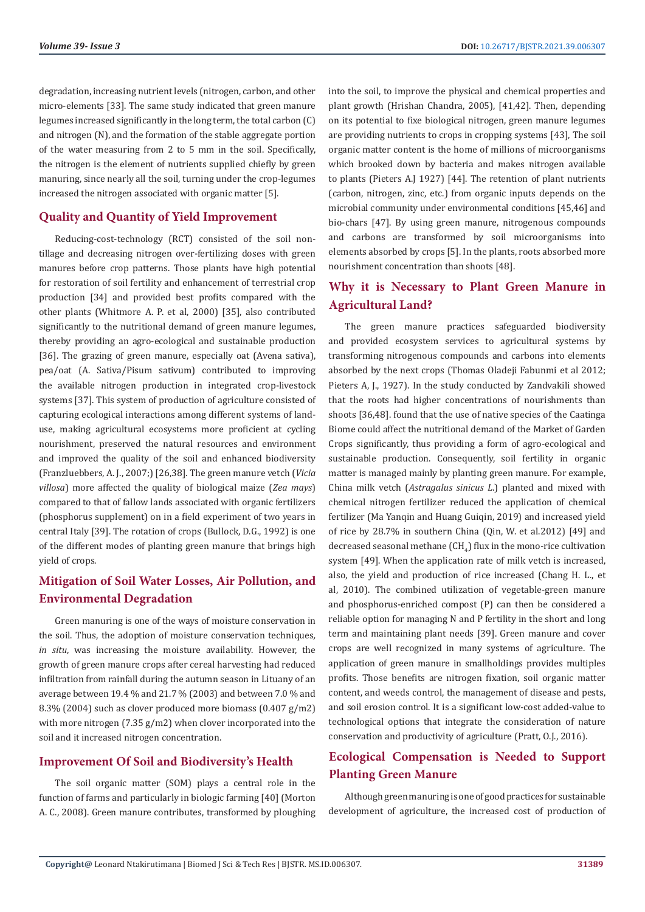degradation, increasing nutrient levels (nitrogen, carbon, and other micro-elements [33]. The same study indicated that green manure legumes increased significantly in the long term, the total carbon (C) and nitrogen (N), and the formation of the stable aggregate portion of the water measuring from 2 to 5 mm in the soil. Specifically, the nitrogen is the element of nutrients supplied chiefly by green manuring, since nearly all the soil, turning under the crop-legumes increased the nitrogen associated with organic matter [5].

#### **Quality and Quantity of Yield Improvement**

Reducing-cost-technology (RCT) consisted of the soil nontillage and decreasing nitrogen over-fertilizing doses with green manures before crop patterns. Those plants have high potential for restoration of soil fertility and enhancement of terrestrial crop production [34] and provided best profits compared with the other plants (Whitmore A. P. et al, 2000) [35], also contributed significantly to the nutritional demand of green manure legumes, thereby providing an agro-ecological and sustainable production [36]. The grazing of green manure, especially oat (Avena sativa). pea/oat (A. Sativa/Pisum sativum) contributed to improving the available nitrogen production in integrated crop-livestock systems [37]. This system of production of agriculture consisted of capturing ecological interactions among different systems of landuse, making agricultural ecosystems more proficient at cycling nourishment, preserved the natural resources and environment and improved the quality of the soil and enhanced biodiversity (Franzluebbers, A. J., 2007;) [26,38]. The green manure vetch (*Vicia villosa*) more affected the quality of biological maize (*Zea mays*) compared to that of fallow lands associated with organic fertilizers (phosphorus supplement) on in a field experiment of two years in central Italy [39]. The rotation of crops (Bullock, D.G., 1992) is one of the different modes of planting green manure that brings high yield of crops.

# **Mitigation of Soil Water Losses, Air Pollution, and Environmental Degradation**

Green manuring is one of the ways of moisture conservation in the soil. Thus, the adoption of moisture conservation techniques*, in situ*, was increasing the moisture availability. However, the growth of green manure crops after cereal harvesting had reduced infiltration from rainfall during the autumn season in Lituany of an average between 19.4 % and 21.7 % (2003) and between 7.0 % and 8.3% (2004) such as clover produced more biomass (0.407 g/m2) with more nitrogen (7.35 g/m2) when clover incorporated into the soil and it increased nitrogen concentration.

#### **Improvement Of Soil and Biodiversity's Health**

The soil organic matter (SOM) plays a central role in the function of farms and particularly in biologic farming [40] (Morton A. C., 2008). Green manure contributes, transformed by ploughing into the soil, to improve the physical and chemical properties and plant growth (Hrishan Chandra, 2005), [41,42]. Then, depending on its potential to fixe biological nitrogen, green manure legumes are providing nutrients to crops in cropping systems [43], The soil organic matter content is the home of millions of microorganisms which brooked down by bacteria and makes nitrogen available to plants (Pieters A.J 1927) [44]. The retention of plant nutrients (carbon, nitrogen, zinc, etc.) from organic inputs depends on the microbial community under environmental conditions [45,46] and bio-chars [47]. By using green manure, nitrogenous compounds and carbons are transformed by soil microorganisms into elements absorbed by crops [5]. In the plants, roots absorbed more nourishment concentration than shoots [48].

## **Why it is Necessary to Plant Green Manure in Agricultural Land?**

The green manure practices safeguarded biodiversity and provided ecosystem services to agricultural systems by transforming nitrogenous compounds and carbons into elements absorbed by the next crops (Thomas Oladeji Fabunmi et al 2012; Pieters A, J., 1927). In the study conducted by Zandvakili showed that the roots had higher concentrations of nourishments than shoots [36,48]. found that the use of native species of the Caatinga Biome could affect the nutritional demand of the Market of Garden Crops significantly, thus providing a form of agro-ecological and sustainable production. Consequently, soil fertility in organic matter is managed mainly by planting green manure. For example, China milk vetch (*Astragalus sinicus L*.) planted and mixed with chemical nitrogen fertilizer reduced the application of chemical fertilizer (Ma Yangin and Huang Guigin, 2019) and increased vield of rice by 28.7% in southern China (Qin, W. et al.2012) [49] and decreased seasonal methane (CH $_{4}$ ) flux in the mono-rice cultivation system [49]. When the application rate of milk vetch is increased, also, the yield and production of rice increased (Chang H. L., et al, 2010). The combined utilization of vegetable-green manure and phosphorus-enriched compost (P) can then be considered a reliable option for managing N and P fertility in the short and long term and maintaining plant needs [39]. Green manure and cover crops are well recognized in many systems of agriculture. The application of green manure in smallholdings provides multiples profits. Those benefits are nitrogen fixation, soil organic matter content, and weeds control, the management of disease and pests, and soil erosion control. It is a significant low-cost added-value to technological options that integrate the consideration of nature conservation and productivity of agriculture (Pratt, O.J., 2016).

# **Ecological Compensation is Needed to Support Planting Green Manure**

Although green manuring is one of good practices for sustainable development of agriculture, the increased cost of production of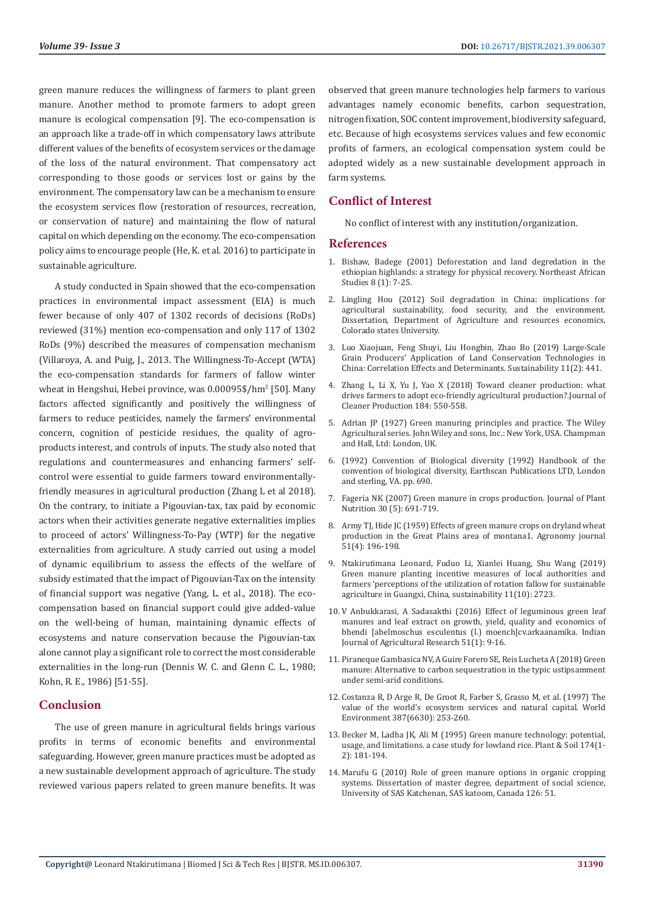green manure reduces the willingness of farmers to plant green manure. Another method to promote farmers to adopt green manure is ecological compensation [9]. The eco-compensation is an approach like a trade-off in which compensatory laws attribute different values of the benefits of ecosystem services or the damage of the loss of the natural environment. That compensatory act corresponding to those goods or services lost or gains by the environment. The compensatory law can be a mechanism to ensure the ecosystem services flow (restoration of resources, recreation, or conservation of nature) and maintaining the flow of natural capital on which depending on the economy. The eco-compensation policy aims to encourage people (He, K. et al. 2016) to participate in sustainable agriculture.

A study conducted in Spain showed that the eco-compensation practices in environmental impact assessment (EIA) is much fewer because of only 407 of 1302 records of decisions (RoDs) reviewed (31%) mention eco-compensation and only 117 of 1302 RoDs (9%) described the measures of compensation mechanism (Villaroya, A. and Puig, J., 2013. The Willingness-To-Accept (WTA) the eco-compensation standards for farmers of fallow winter wheat in Hengshui, Hebei province, was 0.00095\$/hm<sup>2</sup> [50]. Many factors affected significantly and positively the willingness of farmers to reduce pesticides, namely the farmers' environmental concern, cognition of pesticide residues, the quality of agroproducts interest, and controls of inputs. The study also noted that regulations and countermeasures and enhancing farmers' selfcontrol were essential to guide farmers toward environmentallyfriendly measures in agricultural production (Zhang L et al 2018). On the contrary, to initiate a Pigouvian-tax, tax paid by economic actors when their activities generate negative externalities implies to proceed of actors' Willingness-To-Pay (WTP) for the negative externalities from agriculture. A study carried out using a model of dynamic equilibrium to assess the effects of the welfare of subsidy estimated that the impact of Pigouvian-Tax on the intensity of financial support was negative (Yang, L. et al., 2018). The ecocompensation based on financial support could give added-value on the well-being of human, maintaining dynamic effects of ecosystems and nature conservation because the Pigouvian-tax alone cannot play a significant role to correct the most considerable externalities in the long-run (Dennis W. C. and Glenn C. L., 1980; Kohn, R. E., 1986) [51-55].

#### **Conclusion**

The use of green manure in agricultural fields brings various profits in terms of economic benefits and environmental safeguarding. However, green manure practices must be adopted as a new sustainable development approach of agriculture. The study reviewed various papers related to green manure benefits. It was observed that green manure technologies help farmers to various advantages namely economic benefits, carbon sequestration, nitrogen fixation, SOC content improvement, biodiversity safeguard, etc. Because of high ecosystems services values and few economic profits of farmers, an ecological compensation system could be adopted widely as a new sustainable development approach in farm systems.

#### **Conflict of Interest**

No conflict of interest with any institution/organization.

#### **References**

- 1. [Bishaw, Badege \(2001\) Deforestation and land degredation in the](https://www.researchgate.net/publication/236762846_Deforestation_and_Land_Degredation_in_the_Ethiopian_Highlands_A_Strategy_for_Physical_Recovery) [ethiopian highlands: a strategy for physical recovery. Northeast African](https://www.researchgate.net/publication/236762846_Deforestation_and_Land_Degredation_in_the_Ethiopian_Highlands_A_Strategy_for_Physical_Recovery) [Studies 8 \(1\): 7-25.](https://www.researchgate.net/publication/236762846_Deforestation_and_Land_Degredation_in_the_Ethiopian_Highlands_A_Strategy_for_Physical_Recovery)
- 2. Lingling Hou (2012) Soil degradation in China: implications for agricultural sustainability, food security, and the environment. Dissertation, Department of Agriculture and resources economics, Colorado states University.
- 3. [Luo Xiaojuan, Feng Shuyi, Liu Hongbin, Zhao Bo \(2019\) Large-Scale](https://www.researchgate.net/publication/330423951_Large-Scale_Grain_Producers) [Grain Producers' Application of Land Conservation Technologies in](https://www.researchgate.net/publication/330423951_Large-Scale_Grain_Producers) [China: Correlation Effects and Determinants. Sustainability 11\(2\): 441.](https://www.researchgate.net/publication/330423951_Large-Scale_Grain_Producers)
- 4. [Zhang L, Li X, Yu J, Yao X \(2018\) Toward cleaner production: what](https://www.cabdirect.org/cabdirect/abstract/20183391730) [drives farmers to adopt eco-friendly agricultural production?.Journal of](https://www.cabdirect.org/cabdirect/abstract/20183391730) [Cleaner Production 184: 550-558.](https://www.cabdirect.org/cabdirect/abstract/20183391730)
- 5. Adrian JP (1927) Green manuring principles and practice. The Wiley Agricultural series. John Wiley and sons, Inc.: New York, USA. Champman and Hall, Ltd: London, UK.
- 6. (1992) Convention of Biological diversity (1992) Handbook of the convention of biological diversity, Earthscan Publications LTD, London and sterling, VA. pp. 690.
- 7. [Fageria NK \(2007\) Green manure in crops production. Journal of Plant](https://www.researchgate.net/publication/249077542_Green_Manuring_in_Crop_Production) [Nutrition 30 \(5\): 691-719.](https://www.researchgate.net/publication/249077542_Green_Manuring_in_Crop_Production)
- 8. [Army TJ, Hide JC \(1959\) Effects of green manure crops on dryland wheat](https://www.readcube.com/articles/10.2134%2Fagronj1959.00021962005100040004x) [production in the Great Plains area of montana1. Agronomy journal](https://www.readcube.com/articles/10.2134%2Fagronj1959.00021962005100040004x) [51\(4\): 196-198.](https://www.readcube.com/articles/10.2134%2Fagronj1959.00021962005100040004x)
- 9. [Ntakirutimana Leonard, Fuduo Li, Xianlei Huang, Shu Wang \(2019\)](https://www.researchgate.net/publication/333096885_Green_Manure_Planting_Incentive_Measures_of_Local_Authorities_and_Farmers) [Green manure planting incentive measures of local authorities and](https://www.researchgate.net/publication/333096885_Green_Manure_Planting_Incentive_Measures_of_Local_Authorities_and_Farmers) [farmers 'perceptions of the utilization of rotation fallow for sustainable](https://www.researchgate.net/publication/333096885_Green_Manure_Planting_Incentive_Measures_of_Local_Authorities_and_Farmers) [agriculture in Guangxi, China, sustainability 11\(10\): 2723.](https://www.researchgate.net/publication/333096885_Green_Manure_Planting_Incentive_Measures_of_Local_Authorities_and_Farmers)
- 10. V Anbukkarasi, A Sadasakthi (2016) Effect of leguminous green leaf manures and leaf extract on growth, yield, quality and economics of bhendi [abelmoschus esculentus (l.) moench]cv.arkaanamika. Indian Journal of Agricultural Research 51(1): 9-16.
- 11. Piraneque Gambasica NV, A Guire Forero SE, Reis Lucheta A (2018) Green manure: Alternative to carbon sequestration in the typic ustipsamment under semi-arid conditions.
- 12. [Costanza R, D Arge R, De Groot R, Farber S, Grasso M, et al. \(1997\) The](https://www.researchgate.net/publication/229086194_The_Value_of_the_World) [value of the world's ecosystem services and natural capital. World](https://www.researchgate.net/publication/229086194_The_Value_of_the_World) [Environment 387\(6630\): 253-260.](https://www.researchgate.net/publication/229086194_The_Value_of_the_World)
- 13. [Becker M, Ladha JK, Ali M \(1995\) Green manure technology: potential,](https://link.springer.com/article/10.1007/BF00032246) [usage, and limitations. a case study for lowland rice. Plant & Soil 174\(1-](https://link.springer.com/article/10.1007/BF00032246) [2\): 181-194.](https://link.springer.com/article/10.1007/BF00032246)
- 14. Marufu G (2010) Role of green manure options in organic cropping systems. Dissertation of master degree, department of social science, University of SAS Katchenan, SAS katoom, Canada 126: 51.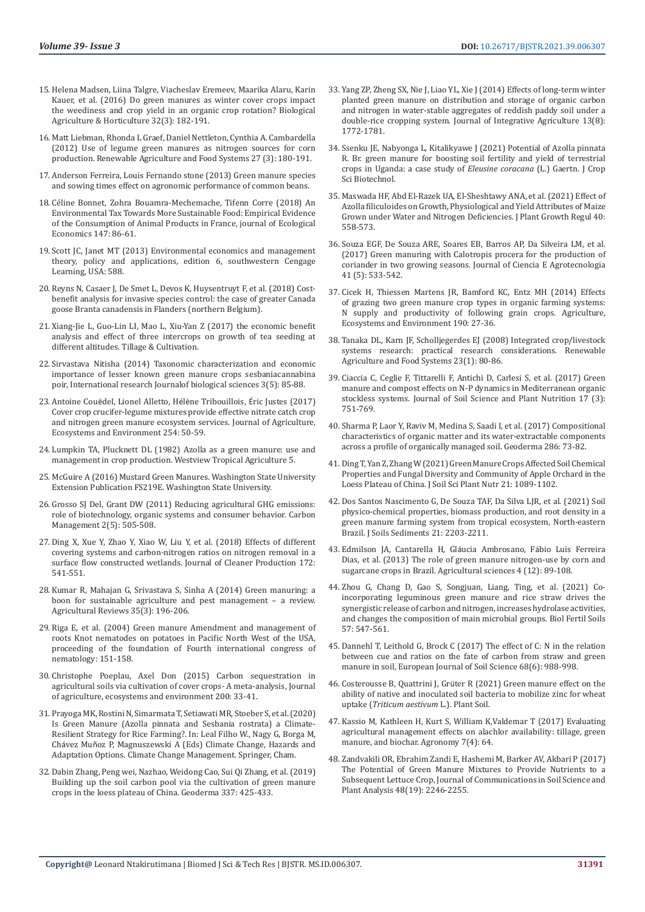- 15. Helena Madsen, Liina Talgre, Viacheslav Eremeev, Maarika Alaru, Karin Kauer, et al. (2016) Do green manures as winter cover crops impact the weediness and crop yield in an organic crop rotation? Biological Agriculture & Horticulture 32(3): 182-191.
- 16. [Matt Liebman, Rhonda L Graef, Daniel Nettleton, Cynthia A. Cambardella](https://www.researchgate.net/publication/259424573_Use_of_legume_green_manures_as_nitrogen_sources_for_corn_production)  [\(2012\) Use of legume green manures as nitrogen sources for corn](https://www.researchgate.net/publication/259424573_Use_of_legume_green_manures_as_nitrogen_sources_for_corn_production)  [production. Renewable Agriculture and Food Systems 27 \(3\): 180-191.](https://www.researchgate.net/publication/259424573_Use_of_legume_green_manures_as_nitrogen_sources_for_corn_production)
- 17. [Anderson Ferreira, Louis Fernando stone \(2013\) Green manure species](http://www.reserachgate.net/publication/257067783.)  [and sowing times effect on agronomic performance of common beans.](http://www.reserachgate.net/publication/257067783.)
- 18. Céline Bonnet, Zohra Bouamra-Mechemache, Tifenn Corre (2018) An Environmental Tax Towards More Sustainable Food: Empirical Evidence of the Consumption of Animal Products in France, journal of Ecological Economics 147: 86-61.
- 19. Scott JC, Janet MT (2013) Environmental economics and management theory, policy and applications, edition 6, southwestern Cengage Learning, USA: 588.
- 20. Reyns N, Casaer J, De Smet L, Devos K, Huysentruyt F, et al. (2018) Costbenefit analysis for invasive species control: the case of greater Canada goose Branta canadensis in Flanders (northern Belgium).
- 21. Xiang-Jie L, Guo-Lin LI, Mao L, Xiu-Yan Z (2017) the economic benefit analysis and effect of three intercrops on growth of tea seeding at different altitudes. Tillage & Cultivation.
- 22. Sirvastava Nitisha (2014) Taxonomic characterization and economic importance of lesser known green manure crops sesbaniacannabina poir, International research Journalof biological sciences 3(5): 85-88.
- 23. Antoine Couë[del, Lionel Alletto, H](https://www.researchgate.net/publication/321275788_Cover_crop_crucifer-legume_mixtures_provide_effective_nitrate_catch_crop_and_nitrogen_green_manure_ecosystem_services)élène Tribouillois, Éric Justes (2017) [Cover crop crucifer-legume mixtures provide effective nitrate catch crop](https://www.researchgate.net/publication/321275788_Cover_crop_crucifer-legume_mixtures_provide_effective_nitrate_catch_crop_and_nitrogen_green_manure_ecosystem_services)  [and nitrogen green manure ecosystem services. Journal of Agriculture,](https://www.researchgate.net/publication/321275788_Cover_crop_crucifer-legume_mixtures_provide_effective_nitrate_catch_crop_and_nitrogen_green_manure_ecosystem_services)  [Ecosystems and Environment 254: 50-59.](https://www.researchgate.net/publication/321275788_Cover_crop_crucifer-legume_mixtures_provide_effective_nitrate_catch_crop_and_nitrogen_green_manure_ecosystem_services)
- 24. Lumpkin TA, Plucknett DL (1982) Azolla as a green manure: use and management in crop production. Westview Tropical Agriculture 5.
- 25. McGuire A (2016) Mustard Green Manures. Washington State University Extension Publication FS219E. Washington State University.
- 26. Grosso SJ Del, Grant DW (2011) Reducing agricultural GHG emissions: role of biotechnology, organic systems and consumer behavior. Carbon Management 2(5): 505-508.
- 27. Ding X, Xue Y, Zhao Y, Xiao W, Liu Y, et al. (2018) Effects of different covering systems and carbon-nitrogen ratios on nitrogen removal in a surface flow constructed wetlands. Journal of Cleaner Production 172: 541-551.
- 28. [Kumar R, Mahajan G, Srivastava S, Sinha A \(2014\) Green manuring: a](https://www.researchgate.net/profile/Dr-Seweta-Srivastava/publication/267755531_Green_manuring_A_boon_for_sustainable_agriculture_and_pest_management_-_A_review/links/5459cf370cf2bccc4912ca37/Green-manuring-A-boon-for-sustainable-agriculture-and-pest-management-A-review.pdf)  [boon for sustainable agriculture and pest management – a review.](https://www.researchgate.net/profile/Dr-Seweta-Srivastava/publication/267755531_Green_manuring_A_boon_for_sustainable_agriculture_and_pest_management_-_A_review/links/5459cf370cf2bccc4912ca37/Green-manuring-A-boon-for-sustainable-agriculture-and-pest-management-A-review.pdf)  [Agricultural Reviews 35\(3\): 196-206.](https://www.researchgate.net/profile/Dr-Seweta-Srivastava/publication/267755531_Green_manuring_A_boon_for_sustainable_agriculture_and_pest_management_-_A_review/links/5459cf370cf2bccc4912ca37/Green-manuring-A-boon-for-sustainable-agriculture-and-pest-management-A-review.pdf)
- 29. Riga E, et al. (2004) Green manure Amendment and management of roots Knot nematodes on potatoes in Pacific North West of the USA, proceeding of the foundation of Fourth international congress of nematology: 151-158.
- 30. [Christophe Poeplau, Axel Don \(2015\) Carbon sequestration in](https://www.researchgate.net/publication/268485587_Carbon_sequestration_in_agricultural_soils_via_cultivation_of_cover_crops_-_A_meta-analysis)  [agricultural soils via cultivation of cover crops- A meta-analysis, Journal](https://www.researchgate.net/publication/268485587_Carbon_sequestration_in_agricultural_soils_via_cultivation_of_cover_crops_-_A_meta-analysis)  [of agriculture, ecosystems and environment 200: 33-41.](https://www.researchgate.net/publication/268485587_Carbon_sequestration_in_agricultural_soils_via_cultivation_of_cover_crops_-_A_meta-analysis)
- 31. Prayoga MK, Rostini N, Simarmata T, Setiawati MR, Stoeber S, et al. (2020) Is Green Manure (Azolla pinnata and Sesbania rostrata) a Climate-Resilient Strategy for Rice Farming?. In: Leal Filho W., Nagy G, Borga M, Chávez Muñoz P, Magnuszewski A (Eds) Climate Change, Hazards and Adaptation Options. Climate Change Management. Springer, Cham.
- 32. Dabin Zhang, Peng wei, Nazhao, Weidong Cao, Sui Qi Zhang, et al. (2019) Building up the soil carbon pool via the cultivation of green manure crops in the loess plateau of China. Geoderma 337: 425-433.
- 33. [Yang ZP, Zheng SX, Nie J, Liao YL, Xie J \(2014\) Effects of long-term winter](https://www.researchgate.net/publication/265129790_Effects_of_Long-Term_Winter_Planted_Green_Manure_on_Distribution_and_Storage_of_Organic_Carbon_and_Nitrogen_in_Water-Stable_Aggregates_of_Reddish_Paddy_Soil_Under_a_Double-Rice_Cropping_System) [planted green manure on distribution and storage of organic carbon](https://www.researchgate.net/publication/265129790_Effects_of_Long-Term_Winter_Planted_Green_Manure_on_Distribution_and_Storage_of_Organic_Carbon_and_Nitrogen_in_Water-Stable_Aggregates_of_Reddish_Paddy_Soil_Under_a_Double-Rice_Cropping_System) [and nitrogen in water-stable aggregates of reddish paddy soil under a](https://www.researchgate.net/publication/265129790_Effects_of_Long-Term_Winter_Planted_Green_Manure_on_Distribution_and_Storage_of_Organic_Carbon_and_Nitrogen_in_Water-Stable_Aggregates_of_Reddish_Paddy_Soil_Under_a_Double-Rice_Cropping_System) [double-rice cropping system. Journal of Integrative Agriculture 13\(8\):](https://www.researchgate.net/publication/265129790_Effects_of_Long-Term_Winter_Planted_Green_Manure_on_Distribution_and_Storage_of_Organic_Carbon_and_Nitrogen_in_Water-Stable_Aggregates_of_Reddish_Paddy_Soil_Under_a_Double-Rice_Cropping_System) [1772-1781.](https://www.researchgate.net/publication/265129790_Effects_of_Long-Term_Winter_Planted_Green_Manure_on_Distribution_and_Storage_of_Organic_Carbon_and_Nitrogen_in_Water-Stable_Aggregates_of_Reddish_Paddy_Soil_Under_a_Double-Rice_Cropping_System)
- 34. Ssenku JE, Nabyonga L, Kitalikyawe J (2021) Potential of Azolla pinnata R. Br. green manure for boosting soil fertility and yield of terrestrial crops in Uganda: a case study of *Eleusine coracana* (L.) Gaertn. J Crop Sci Biotechnol.
- 35. Maswada HF, Abd El-Razek UA, El-Sheshtawy ANA, et al. (2021) Effect of Azolla filiculoides on Growth, Physiological and Yield Attributes of Maize Grown under Water and Nitrogen Deficiencies. J Plant Growth Regul 40: 558-573.
- 36. Souza EGF, De Souza ARE, Soares EB, Barros AP, Da Silveira LM, et al. (2017) Green manuring with Calotropis procera for the production of coriander in two growing seasons. Journal of Ciencia E Agrotecnologia 41 (5): 533-542.
- 37. [Cicek H, Thiessen Martens JR, Bamford KC, Entz MH \(2014\) Effects](https://www.researchgate.net/publication/259118837_Effects_of_grazing_two_green_manure_crop_types_in_organic_farming_systems_N_supply_and_productivity_of_following_grain_crops) [of grazing two green manure crop types in organic farming systems:](https://www.researchgate.net/publication/259118837_Effects_of_grazing_two_green_manure_crop_types_in_organic_farming_systems_N_supply_and_productivity_of_following_grain_crops) [N supply and productivity of following grain crops. Agriculture,](https://www.researchgate.net/publication/259118837_Effects_of_grazing_two_green_manure_crop_types_in_organic_farming_systems_N_supply_and_productivity_of_following_grain_crops) [Ecosystems and Environment 190: 27-36.](https://www.researchgate.net/publication/259118837_Effects_of_grazing_two_green_manure_crop_types_in_organic_farming_systems_N_supply_and_productivity_of_following_grain_crops)
- 38. [Tanaka DL, Karn JF, Scholljegerdes EJ \(2008\) Integrated crop/livestock](https://pubag.nal.usda.gov/download/28793/PDF) [systems research: practical research considerations. Renewable](https://pubag.nal.usda.gov/download/28793/PDF) [Agriculture and Food Systems 23\(1\): 80-86.](https://pubag.nal.usda.gov/download/28793/PDF)
- 39. [Ciaccia C, Ceglie F, Tittarelli F, Antichi D, Carlesi S, et al. \(2017\) Green](https://www.scielo.cl/scielo.php?script=sci_arttext&pid=S0718-95162017000300015) [manure and compost effects on N-P dynamics in Mediterranean organic](https://www.scielo.cl/scielo.php?script=sci_arttext&pid=S0718-95162017000300015) [stockless systems. Journal of Soil Science and Plant Nutrition 17 \(3\):](https://www.scielo.cl/scielo.php?script=sci_arttext&pid=S0718-95162017000300015) [751-769.](https://www.scielo.cl/scielo.php?script=sci_arttext&pid=S0718-95162017000300015)
- 40. [Sharma P, Laor Y, Raviv M, Medina S, Saadi I, et al. \(2017\) Compositional](https://www.researchgate.net/publication/309636233_Compositional_characteristics_of_organic_matter_and_its_water-extractable_components_across_a_profile_of_organically_managed_soil) [characteristics of organic matter and its water-extractable components](https://www.researchgate.net/publication/309636233_Compositional_characteristics_of_organic_matter_and_its_water-extractable_components_across_a_profile_of_organically_managed_soil) [across a profile of organically managed soil. Geoderma 286: 73-82.](https://www.researchgate.net/publication/309636233_Compositional_characteristics_of_organic_matter_and_its_water-extractable_components_across_a_profile_of_organically_managed_soil)
- 41. Ding T, Yan Z, Zhang W (2021) Green Manure Crops Affected Soil Chemical Properties and Fungal Diversity and Community of Apple Orchard in the Loess Plateau of China. J Soil Sci Plant Nutr 21: 1089-1102.
- 42. Dos Santos Nascimento G, De Souza TAF, Da Silva LJR, et al. (2021) Soil physico-chemical properties, biomass production, and root density in a green manure farming system from tropical ecosystem, North-eastern Brazil. J Soils Sediments 21: 2203-2211.
- 43. [Edmilson JA, Cantarella H,](https://www.researchgate.net/publication/276494783_The_role_of_green_manure_nitrogen_use_by_corn_and_sugarcane_crops_in_Brazil) Gláucia Ambrosano, Fábio Luis Ferreira [Dias, et al. \(2013\) The role of green manure nitrogen-use by corn and](https://www.researchgate.net/publication/276494783_The_role_of_green_manure_nitrogen_use_by_corn_and_sugarcane_crops_in_Brazil) [sugarcane crops in Brazil. Agricultural sciences 4 \(12\): 89-108.](https://www.researchgate.net/publication/276494783_The_role_of_green_manure_nitrogen_use_by_corn_and_sugarcane_crops_in_Brazil)
- 44. Zhou G, Chang D, Gao S, [Songjuan, Liang, Ting, et al. \(2021\) Co](https://pubag.nal.usda.gov/catalog/7335617)[incorporating leguminous green manure and rice straw drives the](https://pubag.nal.usda.gov/catalog/7335617) [synergistic release of carbon and nitrogen, increases hydrolase activities,](https://pubag.nal.usda.gov/catalog/7335617) [and changes the composition of main microbial groups. Biol Fertil Soils](https://pubag.nal.usda.gov/catalog/7335617) [57: 547-561.](https://pubag.nal.usda.gov/catalog/7335617)
- 45. [Dannehl T, Leithold G, Brock C \(2017\) The effect of C: N in the relation](https://www.researchgate.net/publication/321229478_The_effect_of_CN_The_relation_between_CUE_and_ratios_on_the_fate_of_carbon_from_straw_and_green_manure_in_soil_The_effect_of_CN_ratios_on_the_fate_of_carbon_from_straw_and_green_manure) [between cue and ratios on the fate of carbon from straw and green](https://www.researchgate.net/publication/321229478_The_effect_of_CN_The_relation_between_CUE_and_ratios_on_the_fate_of_carbon_from_straw_and_green_manure_in_soil_The_effect_of_CN_ratios_on_the_fate_of_carbon_from_straw_and_green_manure) [manure in soil, European Journal of Soil Science 68\(6\): 988-998.](https://www.researchgate.net/publication/321229478_The_effect_of_CN_The_relation_between_CUE_and_ratios_on_the_fate_of_carbon_from_straw_and_green_manure_in_soil_The_effect_of_CN_ratios_on_the_fate_of_carbon_from_straw_and_green_manure)
- 46. Costerousse B, Quattrini J, Grüter R (2021) Green manure effect on the ability of native and inoculated soil bacteria to mobilize zinc for wheat uptake (*Triticum aestivum* L.). Plant Soil.
- 47. Kassio M, Kathleen H, Kurt S, William K,Valdemar T (2017) Evaluating agricultural management effects on alachlor availability: tillage, green manure, and biochar. Agronomy 7(4): 64.
- 48. [Zandvakili OR, Ebrahim Zandi E, Hashemi M, Barker AV, Akbari P \(2017\)](https://www.tandfonline.com/doi/abs/10.1080/00103624.2017.1408819) [The Potential of Green Manure Mixtures to Provide Nutrients to a](https://www.tandfonline.com/doi/abs/10.1080/00103624.2017.1408819) [Subsequent Lettuce Crop, Journal of Communications in Soil Science and](https://www.tandfonline.com/doi/abs/10.1080/00103624.2017.1408819) [Plant Analysis 48\(19\): 2246-2255.](https://www.tandfonline.com/doi/abs/10.1080/00103624.2017.1408819)